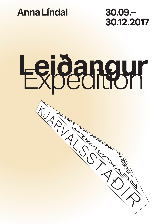

**30.12.2017**

# **Leiðangur** Expedition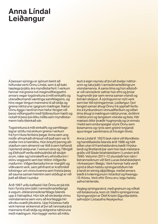# **Anna Líndal Leiðangur**

Á þessari sýningu er sjónum beint að höfundarverki Önnu Líndal, sem á að baki tæplega þrjátíu ára myndlistarferil. Í verkum hennar má greina tvö meginviðfangsefni: annars vegar togstreituna á milli einkalífs og utanaðkomandi væntinga samfélagsins, og hins vegar löngun mannsins til að skilja og greina náttúruna í gegnum mælingar. Rætur Önnu liggja í textíl en hún hefur fengist við þessi viðfangsefni með fjölbreyttum hætti og notað til þess þá ólíku miðla sem myndlistarmenn hafa tileinkað sér.

Togstreituna á milli einkalífs og samfélagslegrar stöðu má einkum greina í verkum frá fyrri hluta ferilsins þegar Anna sem ung móðir afmarkaði efnisval við það sem var til staðar inni á heimilinu. Hún breytti þannig aðstæðum sem almennt var litið á sem heftandi í kjörlendi sköpunar. Í verkum eins og *Tilbrigði* og *Eldhúslíf* verða eldhúsáhöld að skúlptúrum, nálar og tvinnakefli eru efniviðurinn í stóru veggverki sem ber titilinn *Viðgerðamaðurinn*. *Viðgerðamaðurinn* er marglitt og viðkvæmt verk, sem jafnframt er kraftmikill lofsöngur um vinnu kvenna sem freista þess að sauma saman heiminn sem stöðugt er við það að liðast í sundur.

Árið 1997 urðu kaflaskil í list Önnu en þá tók hún í fyrsta sinn þátt í rannsóknarleiðangri á vegum Jöklarannsóknarfélags Íslands upp á Vatnajökul. Hún tók að skrásetja vinnu vísindamanna sem voru að kortleggja hin síkviku svæði jökulsins. Upp frá þessu hafa verk hennar einkennst af því að rannsaka þrá mannsins til að skilja og skilgreina náttúruna með mælingum. Hún byggir verkin að miklu

leyti á eigin reynslu af því að dvelja í náttúrunni og taka þátt í rannsóknarleiðöngrum vísindamanna. Á sama tíma og hún aðstoðar við rannsóknir safnar hún efni og þróar hugmyndir þar sem renna saman vísindi og listræn sköpun. Á sýningunni er nýtt verk sem ber titil sýningarinnar, *Leiðangur*. Í því tengist saman áhugi Önnu frá upphafi ferilsins á kynbundnum vinnuaðferðum og síðari tíma áhugi á mælingum náttúrunnar, dvölinni í náttúrunni og tengslum vísinda og lista. Hér mætast ólíkir þræðir hugmynda og úrvinnslu í heild sem endurspeglar styrk Önnu sem listamanns og rýnis sem greinir knýjandi spurningar samtímans út frá eigin tilvist.

Anna Líndal (f. 1957) lauk námi við Myndlistaog handíðaskóla Íslands árið 1986 og hélt síðan utan til framhaldsnáms bæði í Þýskalandi og Bretlandi þar sem hún lauk meistaragráðu við Slade listaháskólann í London árið 1990. Veturinn 2011–12 stundaði hún nám í listrannsóknum við Sint Lucas listaháskólann í Antwerpen í Belgíu. Verk hennar hafa verið sýnd á öllum helstu sýningarstöðum hér á landi en einnig alþjóðlega, meðal annars bæði á tvíæringunum í Istanbúl og Kwangju í S-Kóreu. Verk eftir Önnu eru í eigu helstu safna hérlendis.

Vegleg sýningarskrá, með greinum og viðtali við listakonuna, kom út í tilefni sýningarinnar. Sýningarstjóri er Ólöf Kristín Sigurðardóttir, safnstjóri Listasafns Reykjavíkur.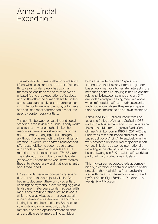# Anna Líndal Expedition

The exhibition focuses on the works of Anna Líndal who has a career as an artist of almost thirty years. Líndal´s work has two main themes; on one hand the conflict between private life and the expectations of society, and on the other the human desire to understand nature and analyse it through measuring it. Her roots are in textile work, but in her art she has used most of the variable mediums used by contemporary artists.

The conflict between private life and social standing is most visible in Líndal´s early works when she as a young mother limited her resources to materials she could find in the home, thereby changing a situation generally thought of as restricting, into a habitat of creation. In works like *Variations* and *Kitchen Life* household items become sculptures and spools of thread and needles are the material in the installation work *The Mender.* The installation is a multi-colored, delicate yet powerful paean to the work of women as they stitch together a world that is constantly about to fall apart.

In 1997 Líndal began accompanying scientists out onto the Vatnajökull Glacier. She began to document the work by scientists charting the mysterious, ever changing glacial landscape. In later years Líndal has dealt with man´s desire to understand nature in works which she largely bases on her own experience of dwelling outside in nature and participating in scientific expeditions. She assists scientists and simultaneously collects material and develops ideas where science and artistic creation merge. The exhibition

holds a new artwork, titled *Expedition.* It connects Líndal´s early interest in gender based work methods to her later interest in the measuring of nature, staying in nature, and the relationship between science and art. Different ideas and processing meet in a whole which reflects Líndal's strength as an artist and critic who analyses the pressing questions of our time based on her own existence.

Anna Líndal (b. 1957) graduated from The Icelandic College of Art and Crafts in 1986 and studied in Germany and Britain, where she finished her Master's degree at Slade School of Fine Art in London in 1990. In 2011–12 she undertook research-based studies at Sint Lucas School of Art in Antwerp, Belgium. Her work has been on show in all major exhibition venues in Iceland as well as internationally, including in the international biennials in Istanbul and Kwangju in S-Korea. Líndal´s work is a part of all major collections in Iceland.

This mid-career retrospective is accompanied by a catalogue containing articles on the prevalent themes in Líndal´s art and an interview with the artist. The exhibition is curated by Ólöf Kristín Sigurðardóttir, Director of the Reykjavik Art Museum